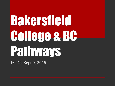# Bakersfield College & BC Pathways

FCDC Sept 9, 2016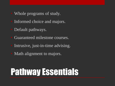- Whole programs of study.
- Informed choice and majors.
- Default pathways.
- Guaranteed milestone courses.
- Intrusive, just-in-time advising.
- Math alignment to majors.

## Pathway Essentials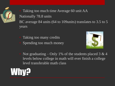

• Taking too much time Average 60 unit AA Nationally 78.8 units BC average 84 units (64 to 109units) translates to 3.5 to 5 years

- Taking too many credits
- Spending too much money



Not graduating – Only 1% of the students placed 3 & 4 levels below college in math will ever finish a college level transferable math class

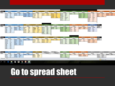## Go to spread sheet

| Period         |             | <b>FALL</b>      |             | <b>SPRING 1</b> |              | <b>SUMMER 1</b> |             | <b>FALL 2</b>    | <b>SHALC</b><br><b>SFRING</b> | гасса |             | <b>SPRING 3</b>  |              | FALL <sup>4</sup> |             | <b>SPRING 4</b>   |             | <b>FALL 5</b>    |             | <b>SPRING 5</b>        |             | <b>SUMMER 5</b>  |
|----------------|-------------|------------------|-------------|-----------------|--------------|-----------------|-------------|------------------|-------------------------------|-------|-------------|------------------|--------------|-------------------|-------------|-------------------|-------------|------------------|-------------|------------------------|-------------|------------------|
| Major          |             | <b>MUSC</b>      |             | <b>MUSC</b>     |              | <b>MUSC</b>     |             | <b>MUSC</b>      |                               |       |             | <b>BUSG</b>      |              | <b>MUSC</b>       |             | <b>UNDE</b>       |             | <b>ENGR</b>      |             | <b>UNDE</b>            |             | <b>ENGR</b>      |
|                | <b>MATH</b> | <b>B22</b>       | <b>ASTR</b> | <b>B2</b>       | <b>IPOLS</b> | <b>B1</b>       | <b>BIOL</b> | <b>B11</b>       |                               |       | <b>ASTR</b> | <b>B2</b>        | <b>IBIOL</b> | <b>B11</b>        | <b>ENGR</b> | <b>B47</b>        | <b>MATH</b> | B <sub>1</sub> A | <b>MATH</b> | B <sub>1</sub> B       | <b>MATH</b> | B <sub>6</sub> A |
|                | <b>ENGL</b> | B <sub>1</sub> A | <b>CHST</b> | <b>B30A</b>     |              |                 | <b>MUSC</b> | <b>B21A</b>      |                               |       | <b>HLED</b> | <b>B1</b>        |              |                   | <b>SPAN</b> | B <sub>1</sub> AB |             |                  | <b>ACDV</b> | <b>B280</b>            |             |                  |
|                | <b>MUSC</b> | <b>B2</b>        | <b>COMM</b> | <b>B8</b>       |              |                 | <b>MUSC</b> | B <sub>5</sub> A |                               |       | PHIL        | B <sub>6</sub> A |              |                   |             |                   |             |                  | <b>CHEM</b> | B <sub>2</sub> A       |             |                  |
| <b>Summary</b> |             |                  |             |                 |              |                 |             |                  |                               |       |             |                  |              |                   |             |                   |             |                  |             |                        |             |                  |
|                |             |                  |             |                 |              |                 |             |                  |                               |       |             |                  |              |                   |             |                   |             |                  |             | 100%<br><b>ABILO H</b> | $\left($    |                  |
|                |             |                  |             |                 |              |                 |             |                  |                               |       |             |                  |              |                   |             |                   |             |                  |             |                        |             |                  |

|               |              |                  |              |                  |             |                 |             |                  | IFFIT D     | D4A              |             |                  |              |                  |             |                  |             |                   |             |                 |             |
|---------------|--------------|------------------|--------------|------------------|-------------|-----------------|-------------|------------------|-------------|------------------|-------------|------------------|--------------|------------------|-------------|------------------|-------------|-------------------|-------------|-----------------|-------------|
|               |              |                  |              |                  |             |                 |             |                  |             |                  |             |                  |              |                  |             |                  |             |                   |             |                 |             |
| <b>Period</b> |              | <b>FALL 1</b>    |              | <b>SPRING 1</b>  |             | <b>SUMMER 1</b> |             | <b>FALL</b> :    |             | <b>SPRING 2</b>  |             | <b>SUMMER 2</b>  |              | <b>FALL 3</b>    |             | <b>SPRING 3</b>  |             | FALL <sup>4</sup> |             | <b>SPRING 4</b> | <b>GRAD</b> |
| <b>Major</b>  |              | <b>ENGR</b>      |              | <b>ENGR</b>      |             | <b>ENGR</b>     |             | <b>ENGR</b>      |             | <b>UNDE</b>      |             | <b>ENGR</b>      |              | <b>ENGR</b>      |             | <b>ENGR</b>      |             | <b>ENGR</b>       |             | <b>ENGR</b>     | <b>PHYS</b> |
|               | <b>MATH</b>  | B <sub>1</sub> A | <b>MATH</b>  | B <sub>1</sub> B | <b>GEOL</b> | <b>B10</b>      | <b>MATH</b> | B <sub>6</sub> A | math        | B <sub>6</sub> B | <b>PHYS</b> | B <sub>4</sub> A | <b>IMATH</b> | B <sub>6</sub> C | <b>MATH</b> | B <sub>6</sub> D | <b>GEOG</b> | <b>B1</b>         | <b>FORE</b> | <b>B2</b>       | <b>MATH</b> |
|               | <b>COMM</b>  | <b>B1</b>        | <b>ACDV</b>  | <b>B281B</b>     |             |                 | <b>CHEM</b> | B <sub>1</sub> A | <b>CHEM</b> | B <sub>1</sub> B |             |                  | <b>ENGR</b>  | <b>B36</b>       | <b>HIST</b> | <b>B18</b>       | <b>INDR</b> | <b>B12</b>        | <b>INDR</b> | <b>B20A</b>     |             |
|               | <b>ENGL</b>  | B <sub>1</sub> A | <b>BIOL</b>  | <b>B11</b>       |             |                 | <b>HIST</b> | <b>B17A</b>      | <b>MUSC</b> | <b>B2</b>        |             |                  | <b>MUSC</b>  | <b>B27</b>       | <b>MATH</b> | B <sub>6</sub> E |             |                   |             | <b>B12</b>      |             |
|               | <b>ENGR</b>  | <b>B47</b>       | <b>ENGL</b>  | B <sub>1</sub> B |             |                 |             |                  |             |                  |             |                  | <b>PHYS</b>  | B <sub>4</sub> B | <b>PHYS</b> | B <sub>4</sub> C |             |                   |             |                 |             |
|               | <b>I IBR</b> | <b>B55</b>       | <b>IPSYC</b> | B <sub>1</sub> A |             |                 |             |                  |             |                  |             |                  |              |                  |             |                  |             |                   |             |                 |             |

| <b>Period</b> |             | <b>SPRING 1</b>  |             | <b>FALL 1</b>    |              | <b>SPRING 2</b>  |             | <b>FALL 2</b> |              | <b>SPRING 3</b>  | <b>SUMMER 3</b> |            |  |
|---------------|-------------|------------------|-------------|------------------|--------------|------------------|-------------|---------------|--------------|------------------|-----------------|------------|--|
| <b>Major</b>  |             | <b>UNDE</b>      |             | <b>UNDE</b>      |              | <b>UNDE</b>      |             | <b>UNDE</b>   |              | <b>ENGR</b>      | <b>ENGR</b>     |            |  |
|               | <b>ENGL</b> | B <sub>1</sub> A | <b>MATH</b> | B <sub>6</sub> A | <b>IMATH</b> | B <sub>6</sub> B | <b>MATH</b> | <b>B6C</b>    | <b>IMATH</b> | <b>B21</b>       | <b>COMM</b>     | <b>B1</b>  |  |
|               | <b>HIST</b> | <b>B17A</b>      | <b>BSAD</b> | <b>B5</b>        | <b>ART</b>   | <b>B10</b>       | <b>COMM</b> | <b>B1</b>     | <b>MATH</b>  | B <sub>6</sub> D | <b>ENGR</b>     | <b>B47</b> |  |
|               | <b>LIBR</b> | <b>B55</b>       | <b>PHYS</b> | B <sub>2</sub> A | <b>COMS</b>  | <b>B2</b>        | <b>ENGR</b> | <b>B19C</b>   | IMATH        | B <sub>6E</sub>  |                 |            |  |
|               | <b>LIBR</b> | <b>B55</b>       |             |                  | <b>PHYS</b>  | B <sub>2</sub> B | PHIL        | <b>B37</b>    | <b>CHEM</b>  | B <sub>1</sub> A |                 |            |  |
|               | PHIL        | B7               |             |                  | <b>STDV</b>  | <b>B2</b>        | PHIL        | <b>B7</b>     | iindr        | <b>B10</b>       |                 |            |  |
|               |             |                  |             |                  |              |                  |             |               | $\sim$       | $-11$            |                 |            |  |

K

P.

| <b>Period</b> |             | <b>SPRING 1</b>  |             | <b>SUMMER 1</b> |                                                          | <b>FALL</b>      |              | <b>SPRING 2</b>  |             | <b>SUMMER 2</b> |             | <b>FALL 2</b>    |              | <b>SPRING 3</b>  |             | <b>SUMMER 3</b> |             | <b>FALL 3</b>    |              | <b>SPRING 4</b>  | <b>SUMMER 4</b> |                  |             |
|---------------|-------------|------------------|-------------|-----------------|----------------------------------------------------------|------------------|--------------|------------------|-------------|-----------------|-------------|------------------|--------------|------------------|-------------|-----------------|-------------|------------------|--------------|------------------|-----------------|------------------|-------------|
| <b>Major</b>  |             | <b>ENGR</b>      |             | <b>ENGR</b>     | <b>ENGR</b><br><b>ENGR</b><br><b>ENGR</b><br><b>ENGR</b> |                  |              |                  | <b>ENGR</b> |                 | <b>CMST</b> |                  | <b>ENGR</b>  | <b>ENGR</b>      |             | <b>ENGR</b>     |             |                  |              |                  |                 |                  |             |
|               | <b>MATH</b> | B <sub>6</sub> A | <b>ACDV</b> | <b>B50</b>      | <b>MATH</b>                                              | B <sub>6</sub> B | <b>MATH</b>  | <b>B6C</b>       | <b>ACDV</b> | <b>B280</b>     | <b>MATH</b> | B <sub>6</sub> C | <b>IMATH</b> | B <sub>6</sub> D | <b>ANTH</b> | <b>B1</b>       | <b>CHEM</b> | B <sub>2</sub> A | <b>MATH</b>  | B <sub>6</sub> E | <b>ACDV</b>     | <b>B280</b>      | <b>ENGR</b> |
|               | <b>COMM</b> | <b>B8</b>        | <b>HLED</b> | <b>B1</b>       | <b>COMM</b>                                              | <b>B2</b>        | <b>ICOMM</b> | <b>B21</b>       | <b>HIST</b> | <b>B17A</b>     | <b>COMM</b> | <b>B5</b>        | <b>MATH</b>  | B <sub>6</sub> E |             |                 | <b>ENGR</b> | <b>B36</b>       | <b>CHEM</b>  | B <sub>1</sub> A | <b>ART</b>      | <b>B2</b>        | <b>ENGR</b> |
|               | <b>ENGL</b> | <b>B50</b>       |             |                 | <b>ENGL</b>                                              | B <sub>1</sub> A | <b>NUTR</b>  | <b>B10</b>       |             |                 | <b>COMM</b> | <b>B6</b>        | <b>COMM</b>  | <b>B1</b>        |             |                 | <b>ENGR</b> | <b>B47</b>       | <b>IENGR</b> | <b>B17</b>       | <b>ENGL</b>     | B <sub>1</sub> B |             |
|               | <b>PHED</b> | B6WT             |             |                 |                                                          |                  | <b>PHYS</b>  | B <sub>4</sub> A |             |                 | <b>PHYS</b> | B <sub>4</sub> B | PHED         | B6FCX            |             |                 | <b>POLS</b> | <b>B1</b>        | <b>ENGR</b>  | <b>B17L</b>      |                 |                  |             |
|               |             |                  |             |                 |                                                          |                  |              |                  |             |                 |             |                  | <b>PHYS</b>  | B <sub>4</sub> C |             |                 |             |                  | <b>INDR</b>  | <b>B10</b>       |                 |                  |             |
|               |             |                  |             |                 |                                                          |                  |              |                  |             |                 |             |                  | <b>STDV</b>  | <b>B1</b>        |             |                 |             |                  | <b>INDR</b>  | <b>B11</b>       |                 |                  |             |
|               |             |                  |             |                 |                                                          |                  |              |                  |             |                 |             |                  |              |                  |             |                 |             |                  | <b>ART</b>   | <b>B1</b>        |                 |                  |             |
|               |             |                  |             |                 |                                                          |                  |              |                  |             |                 |             |                  |              |                  |             |                 |             |                  |              |                  |                 |                  |             |
|               |             |                  |             |                 |                                                          |                  |              |                  |             |                 |             |                  |              |                  |             |                 |             |                  |              |                  |                 |                  |             |

FALL<sub>3</sub>

**ENGR** 

 $B1B$ 

B<sub>4</sub>B

**B1** 

B<sub>1</sub>A

**CHEM** 

**PHYS** 

**POLS** 

**PSYC** 

**SPRING 4** 

**CHEM** 

**B45** 

**B9** 

B<sub>4</sub>C

**B32** 

**ENGR** 

**PHYS** 

**THEA** 

PHIL

LIBR

LIBR

**LIBR** 

 $\alpha$ 

 $\Box$ 

e

**B55** 

**B55** 

**B55** 

 $\left[ a\right]$ 

19

 $\hat{\mathbf{H}}$ 

**Part** 

**FALL 4** 

**CHEM** 

**B30A** 

B<sub>3</sub>B

**CHEM** 

**BIOL** 

FALL<sup>4</sup> **ENGR B19C** 

**GRAD** 

**CHEM MATH** 

**SPRING 5** 

**CHEM** 

**B30B** 

**B1** 

**B10** 

B6T

**CHEM** 

**ECON** 

**NUTR** 

PHED

**B45**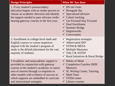| <b>Design Principles</b>                                                                                                                                                                                                                                                                          | <b>What BC has done</b>                                                                                                                                                                                                                                              |
|---------------------------------------------------------------------------------------------------------------------------------------------------------------------------------------------------------------------------------------------------------------------------------------------------|----------------------------------------------------------------------------------------------------------------------------------------------------------------------------------------------------------------------------------------------------------------------|
| 1. Every student's postsecondary<br>education begins with an intake process to<br>choose an academic direction and identify<br>the support needed to pass relevant credit-<br>bearing gateway courses in the first year.                                                                          | $\checkmark$ HS site visits<br>$\checkmark$ Renegade day<br>$\checkmark$ Specialized advisors<br>$\checkmark$ Cohort tracking<br>Get Focused Stay Focused<br>$\checkmark$ Dual Enrollment<br>$\checkmark$ Summer Bridge<br>$\checkmark$ Degreeworks<br>✔ Convocation |
| 2. Enrollment in college-level math and<br>English courses or course sequences<br>aligned with the student's program of<br>study is the default placement for the vast<br>majority of students.                                                                                                   | $\checkmark$ Registration strategies<br>$\checkmark$ Abbreviated SEP<br>$\checkmark$ STEM & MESA<br>$\checkmark$ Multiple Measures<br>$\checkmark$ Title 5 & ASTEP<br>$\checkmark$ Rural Initiatives & Rural Bridge                                                  |
| 3 Academic and nonacademic support is<br>provided in conjunction with gateway<br>courses in the student's academic or career<br>area of interest through co-requisite or<br>other models with evidence of success in<br>which supports are embedded in curricula<br>and instructional strategies. | $\checkmark$ Habits of Mind<br>$\checkmark$ Completion Coaches (MIH<br>Mentors)<br>$\checkmark$ SI, Writing Center, Tutoring<br>$\checkmark$ Math Tutor<br>$\checkmark$ STEM center<br>$\checkmark$ Library courses                                                  |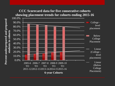## **CCC Scorecard data for five consecutive cohorts showing placement trends for cohorts ending 2015-16**

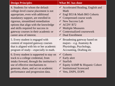4. Students for whom the default college-level course placement is not appropriate, even with additional mandatory support, are enrolled in rigorous, streamlined remediation options that align with the knowledge and skills required for success in gateway courses in their academic or career area of interest.

5. Every student is engaged with content of required gateway courses that is aligned with his or her academic program of study—especially in math.

6. Every student is supported to stay on track to a college credential, from intake forward, through the institution's use of effective mechanisms to generate, share, and act on academic performance and progression data.

## **Design Principles What BC has done**

- $\checkmark$  Accelerated Reading, English and Math
- $\checkmark$  Engl B53 & Math B65 Cohorts
- $\checkmark$  Compressed course work
- $\checkmark$  New Success Lab
- $\checkmark$  ACDV B72
- $\checkmark$  Multiple Measures
- $\checkmark$  Contextualized coursework
- $\checkmark$  Dual Enrollment
- $\checkmark$  Broadening gateway based on majors – e.g. Anatomy  $\&$ Physiology, Psychology, Accounting, Drafting etc
- $\checkmark$  Cohorts
- $\checkmark$  Early alert
- $\checkmark$  Starfish
- $\checkmark$  Equity AAMP & Hispanic Cohort
- $\checkmark$  Institutional Scorecard
- $\checkmark$  Vets, DSPS, EOPS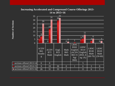### **Increasing Accelerated and Compressed Course Offerings 2013- 14 to 2015=16**



Number of Sections **Number of Sections**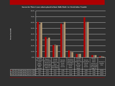### **Success for Three 2-year cohorts placed in Basic Skills Math 1 to 3 levels below Transfer**

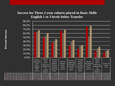## **Success for Three 2-year cohorts placed in Basic Skills English 1 to 3 levels below Transfer**